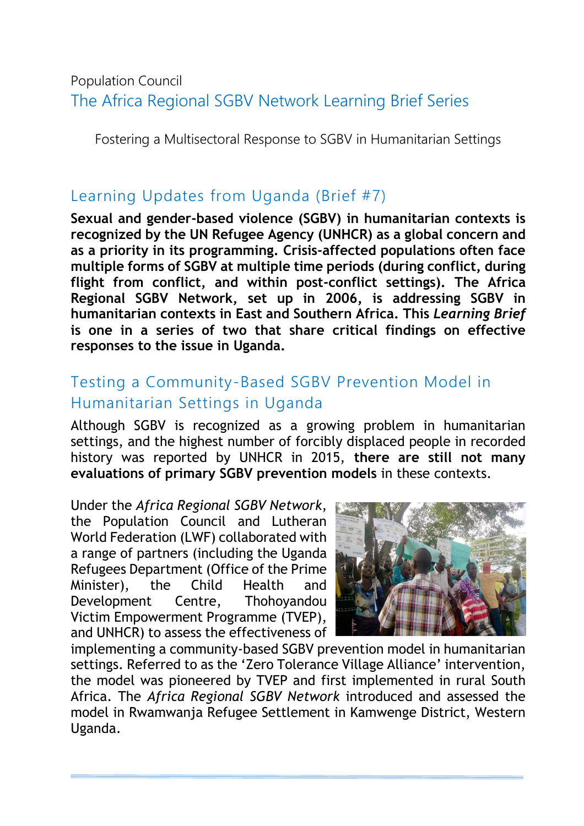Population Council The Africa Regional SGBV Network Learning Brief Series

Fostering a Multisectoral Response to SGBV in Humanitarian Settings

# Learning Updates from Uganda (Brief #7)

**Sexual and gender-based violence (SGBV) in humanitarian contexts is recognized by the UN Refugee Agency (UNHCR) as a global concern and as a priority in its programming. Crisis-affected populations often face multiple forms of SGBV at multiple time periods (during conflict, during flight from conflict, and within post-conflict settings). The Africa Regional SGBV Network, set up in 2006, is addressing SGBV in humanitarian contexts in East and Southern Africa. This** *Learning Brief* **is one in a series of two that share critical findings on effective responses to the issue in Uganda.**

# Testing a Community-Based SGBV Prevention Model in Humanitarian Settings in Uganda

Although SGBV is recognized as a growing problem in humanitarian settings, and the highest number of forcibly displaced people in recorded history was reported by UNHCR in 2015, **there are still not many evaluations of primary SGBV prevention models** in these contexts.

Under the *Africa Regional SGBV Network*, the Population Council and Lutheran World Federation (LWF) collaborated with a range of partners (including the Uganda Refugees Department (Office of the Prime Minister), the Child Health and Development Centre, Thohoyandou Victim Empowerment Programme (TVEP), and UNHCR) to assess the effectiveness of



implementing a community-based SGBV prevention model in humanitarian settings. Referred to as the 'Zero Tolerance Village Alliance' intervention, the model was pioneered by TVEP and first implemented in rural South Africa. The *Africa Regional SGBV Network* introduced and assessed the model in Rwamwanja Refugee Settlement in Kamwenge District, Western Uganda.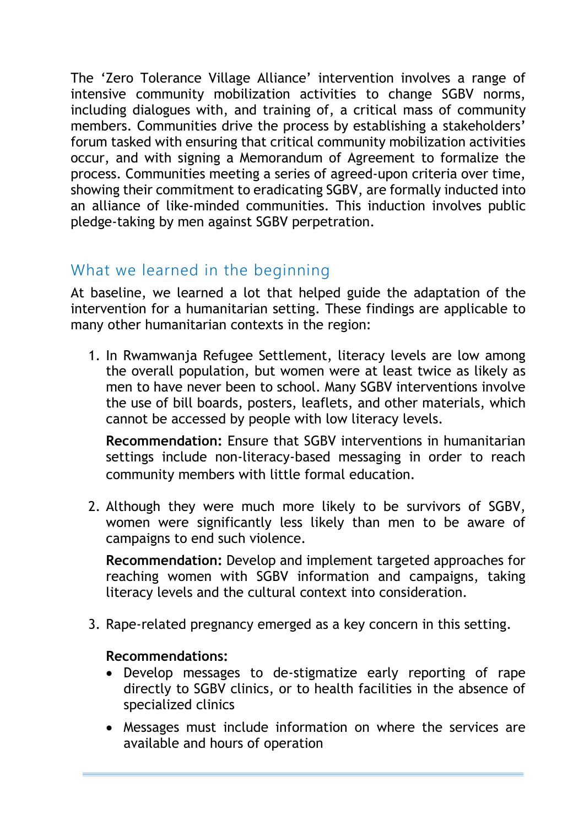The 'Zero Tolerance Village Alliance' intervention involves a range of intensive community mobilization activities to change SGBV norms, including dialogues with, and training of, a critical mass of community members. Communities drive the process by establishing a stakeholders' forum tasked with ensuring that critical community mobilization activities occur, and with signing a Memorandum of Agreement to formalize the process. Communities meeting a series of agreed-upon criteria over time, showing their commitment to eradicating SGBV, are formally inducted into an alliance of like-minded communities. This induction involves public pledge-taking by men against SGBV perpetration.

## What we learned in the beginning

At baseline, we learned a lot that helped guide the adaptation of the intervention for a humanitarian setting. These findings are applicable to many other humanitarian contexts in the region:

1. In Rwamwanja Refugee Settlement, literacy levels are low among the overall population, but women were at least twice as likely as men to have never been to school. Many SGBV interventions involve the use of bill boards, posters, leaflets, and other materials, which cannot be accessed by people with low literacy levels.

**Recommendation:** Ensure that SGBV interventions in humanitarian settings include non-literacy-based messaging in order to reach community members with little formal education.

2. Although they were much more likely to be survivors of SGBV, women were significantly less likely than men to be aware of campaigns to end such violence.

**Recommendation:** Develop and implement targeted approaches for reaching women with SGBV information and campaigns, taking literacy levels and the cultural context into consideration.

3. Rape-related pregnancy emerged as a key concern in this setting.

#### **Recommendations:**

- Develop messages to de-stigmatize early reporting of rape directly to SGBV clinics, or to health facilities in the absence of specialized clinics
- Messages must include information on where the services are available and hours of operation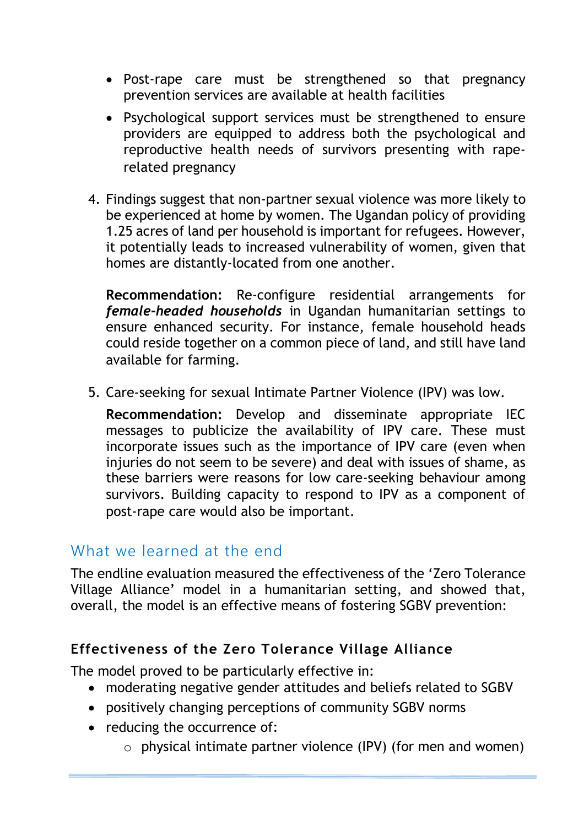- Post-rape care must be strengthened so that pregnancy prevention services are available at health facilities
- Psychological support services must be strengthened to ensure providers are equipped to address both the psychological and reproductive health needs of survivors presenting with raperelated pregnancy
- 4. Findings suggest that non-partner sexual violence was more likely to be experienced at home by women. The Ugandan policy of providing 1.25 acres of land per household is important for refugees. However, it potentially leads to increased vulnerability of women, given that homes are distantly-located from one another.

**Recommendation:** Re-configure residential arrangements for *female-headed households* in Ugandan humanitarian settings to ensure enhanced security. For instance, female household heads could reside together on a common piece of land, and still have land available for farming.

5. Care-seeking for sexual Intimate Partner Violence (IPV) was low.

**Recommendation:** Develop and disseminate appropriate IEC messages to publicize the availability of IPV care. These must incorporate issues such as the importance of IPV care (even when injuries do not seem to be severe) and deal with issues of shame, as these barriers were reasons for low care-seeking behaviour among survivors. Building capacity to respond to IPV as a component of post-rape care would also be important.

## What we learned at the end

The endline evaluation measured the effectiveness of the 'Zero Tolerance Village Alliance' model in a humanitarian setting, and showed that, overall, the model is an effective means of fostering SGBV prevention:

## **Effectiveness of the Zero Tolerance Village Alliance**

The model proved to be particularly effective in:

- moderating negative gender attitudes and beliefs related to SGBV
- positively changing perceptions of community SGBV norms
- reducing the occurrence of:
	- o physical intimate partner violence (IPV) (for men and women)